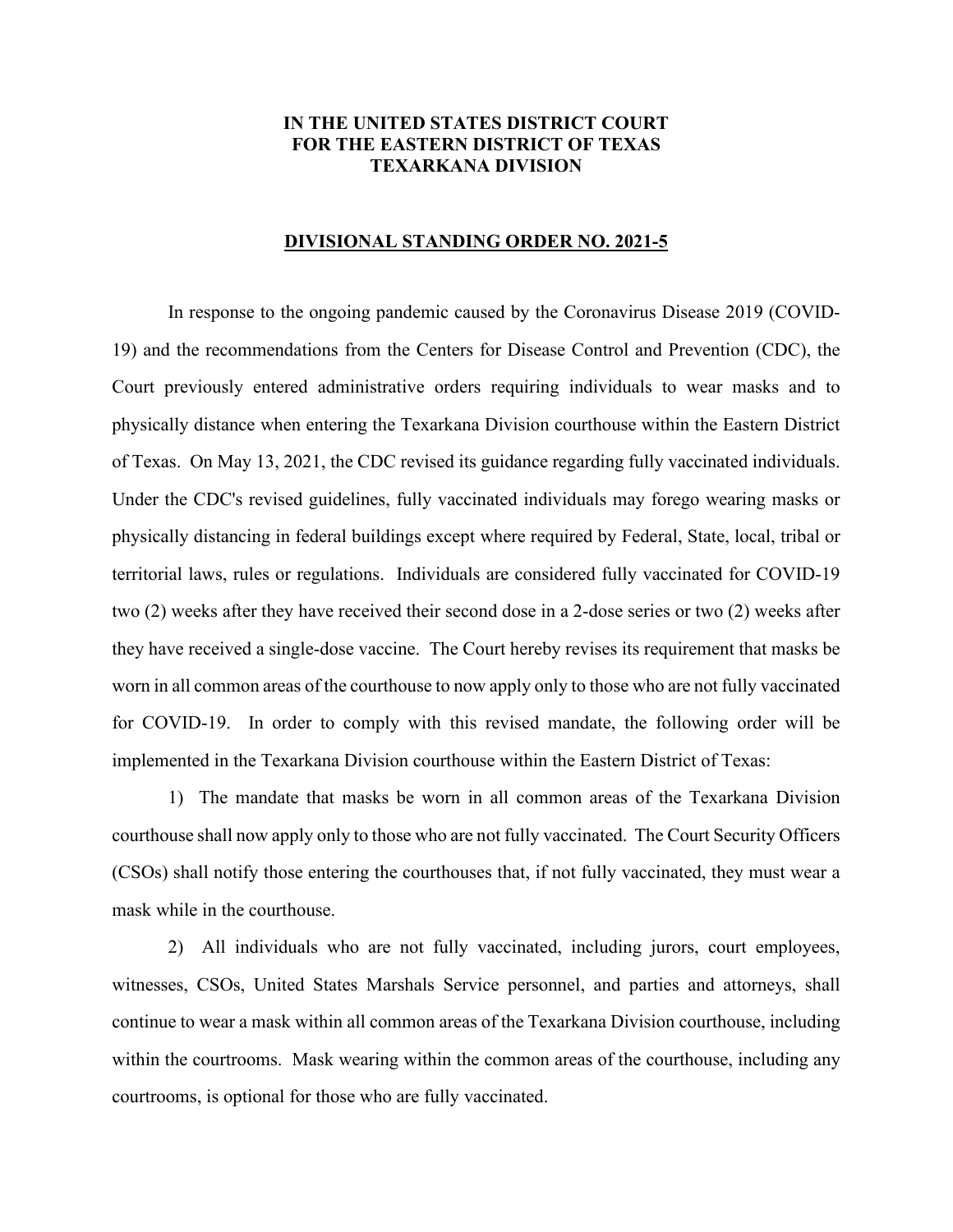## **IN THE UNITED STATES DISTRICT COURT FOR THE EASTERN DISTRICT OF TEXAS TEXARKANA DIVISION**

## **DIVISIONAL STANDING ORDER NO. 2021-5**

In response to the ongoing pandemic caused by the Coronavirus Disease 2019 (COVID-19) and the recommendations from the Centers for Disease Control and Prevention (CDC), the Court previously entered administrative orders requiring individuals to wear masks and to physically distance when entering the Texarkana Division courthouse within the Eastern District of Texas. On May 13, 2021, the CDC revised its guidance regarding fully vaccinated individuals. Under the CDC's revised guidelines, fully vaccinated individuals may forego wearing masks or physically distancing in federal buildings except where required by Federal, State, local, tribal or territorial laws, rules or regulations. Individuals are considered fully vaccinated for COVID-19 two (2) weeks after they have received their second dose in a 2-dose series or two (2) weeks after they have received a single-dose vaccine. The Court hereby revises its requirement that masks be worn in all common areas of the courthouse to now apply only to those who are not fully vaccinated for COVID-19. In order to comply with this revised mandate, the following order will be implemented in the Texarkana Division courthouse within the Eastern District of Texas:

1) The mandate that masks be worn in all common areas of the Texarkana Division courthouse shall now apply only to those who are not fully vaccinated. The Court Security Officers (CSOs) shall notify those entering the courthouses that, if not fully vaccinated, they must wear a mask while in the courthouse.

2) All individuals who are not fully vaccinated, including jurors, court employees, witnesses, CSOs, United States Marshals Service personnel, and parties and attorneys, shall continue to wear a mask within all common areas of the Texarkana Division courthouse, including within the courtrooms. Mask wearing within the common areas of the courthouse, including any courtrooms, is optional for those who are fully vaccinated.